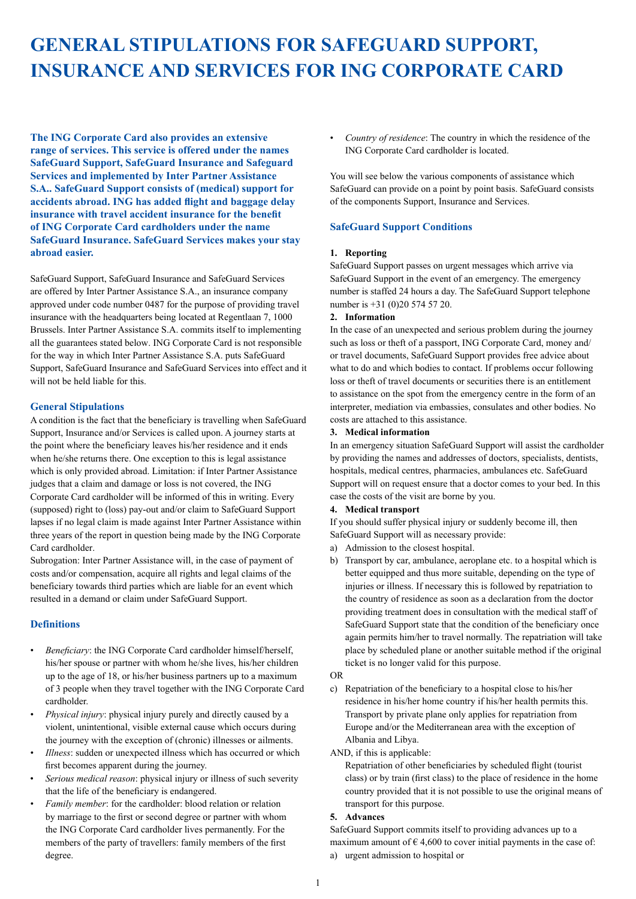# **GENERAL STIPULATIONS FOR SAFEGUARD SUPPORT, INSURANCE AND SERVICES FOR ING CORPORATE CARD**

**The ING Corporate Card also provides an extensive range of services. This service is offered under the names SafeGuard Support, SafeGuard Insurance and Safeguard Services and implemented by Inter Partner Assistance S.A.. SafeGuard Support consists of (medical) support for accidents abroad. ING has added flight and baggage delay insurance with travel accident insurance for the benefit of ING Corporate Card cardholders under the name SafeGuard Insurance. SafeGuard Services makes your stay abroad easier.**

SafeGuard Support, SafeGuard Insurance and SafeGuard Services are offered by Inter Partner Assistance S.A., an insurance company approved under code number 0487 for the purpose of providing travel insurance with the headquarters being located at Regentlaan 7, 1000 Brussels. Inter Partner Assistance S.A. commits itself to implementing all the guarantees stated below. ING Corporate Card is not responsible for the way in which Inter Partner Assistance S.A. puts SafeGuard Support, SafeGuard Insurance and SafeGuard Services into effect and it will not be held liable for this.

## **General Stipulations**

A condition is the fact that the beneficiary is travelling when SafeGuard Support, Insurance and/or Services is called upon. A journey starts at the point where the beneficiary leaves his/her residence and it ends when he/she returns there. One exception to this is legal assistance which is only provided abroad. Limitation: if Inter Partner Assistance judges that a claim and damage or loss is not covered, the ING Corporate Card cardholder will be informed of this in writing. Every (supposed) right to (loss) pay-out and/or claim to SafeGuard Support lapses if no legal claim is made against Inter Partner Assistance within three years of the report in question being made by the ING Corporate Card cardholder.

Subrogation: Inter Partner Assistance will, in the case of payment of costs and/or compensation, acquire all rights and legal claims of the beneficiary towards third parties which are liable for an event which resulted in a demand or claim under SafeGuard Support.

## **Definitions**

- *Beneficiary*: the ING Corporate Card cardholder himself/herself, his/her spouse or partner with whom he/she lives, his/her children up to the age of 18, or his/her business partners up to a maximum of 3 people when they travel together with the ING Corporate Card cardholder.
- *Physical injury*: physical injury purely and directly caused by a violent, unintentional, visible external cause which occurs during the journey with the exception of (chronic) illnesses or ailments.
- *Illness*: sudden or unexpected illness which has occurred or which first becomes apparent during the journey.
- *Serious medical reason*: physical injury or illness of such severity that the life of the beneficiary is endangered.
- *Family member*: for the cardholder: blood relation or relation by marriage to the first or second degree or partner with whom the ING Corporate Card cardholder lives permanently. For the members of the party of travellers: family members of the first degree.

• *Country of residence*: The country in which the residence of the ING Corporate Card cardholder is located.

You will see below the various components of assistance which SafeGuard can provide on a point by point basis. SafeGuard consists of the components Support, Insurance and Services.

## **SafeGuard Support Conditions**

#### **1. Reporting**

SafeGuard Support passes on urgent messages which arrive via SafeGuard Support in the event of an emergency. The emergency number is staffed 24 hours a day. The SafeGuard Support telephone number is +31 (0)20 574 57 20.

#### **2. Information**

In the case of an unexpected and serious problem during the journey such as loss or theft of a passport, ING Corporate Card, money and/ or travel documents, SafeGuard Support provides free advice about what to do and which bodies to contact. If problems occur following loss or theft of travel documents or securities there is an entitlement to assistance on the spot from the emergency centre in the form of an interpreter, mediation via embassies, consulates and other bodies. No costs are attached to this assistance.

#### **3. Medical information**

In an emergency situation SafeGuard Support will assist the cardholder by providing the names and addresses of doctors, specialists, dentists, hospitals, medical centres, pharmacies, ambulances etc. SafeGuard Support will on request ensure that a doctor comes to your bed. In this case the costs of the visit are borne by you.

#### **4. Medical transport**

If you should suffer physical injury or suddenly become ill, then SafeGuard Support will as necessary provide:

- a) Admission to the closest hospital.
- b) Transport by car, ambulance, aeroplane etc. to a hospital which is better equipped and thus more suitable, depending on the type of injuries or illness. If necessary this is followed by repatriation to the country of residence as soon as a declaration from the doctor providing treatment does in consultation with the medical staff of SafeGuard Support state that the condition of the beneficiary once again permits him/her to travel normally. The repatriation will take place by scheduled plane or another suitable method if the original ticket is no longer valid for this purpose.

#### OR

c) Repatriation of the beneficiary to a hospital close to his/her residence in his/her home country if his/her health permits this. Transport by private plane only applies for repatriation from Europe and/or the Mediterranean area with the exception of Albania and Libya.

## AND, if this is applicable:

Repatriation of other beneficiaries by scheduled flight (tourist class) or by train (first class) to the place of residence in the home country provided that it is not possible to use the original means of transport for this purpose.

## **5. Advances**

SafeGuard Support commits itself to providing advances up to a maximum amount of  $\epsilon$  4,600 to cover initial payments in the case of: a) urgent admission to hospital or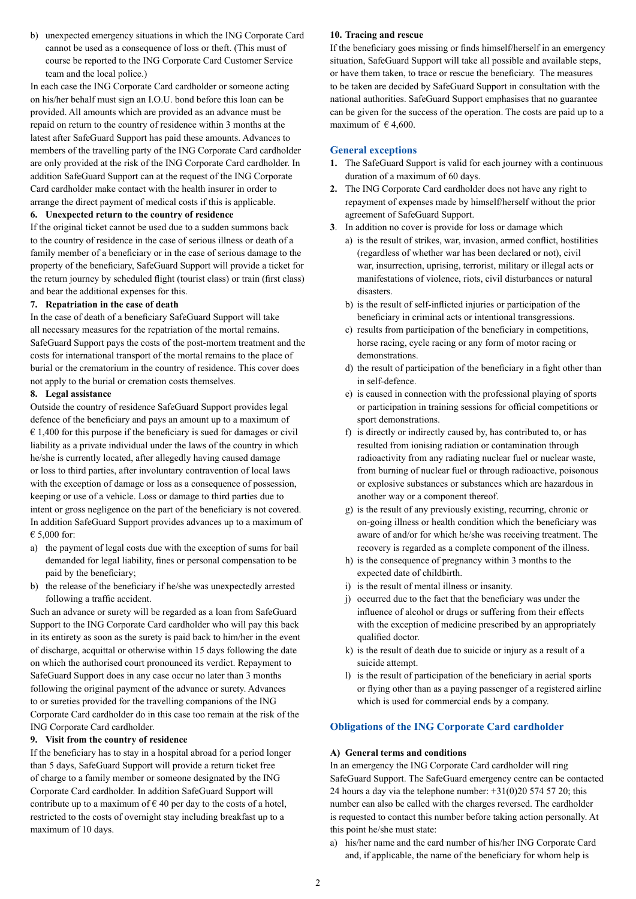b) unexpected emergency situations in which the ING Corporate Card cannot be used as a consequence of loss or theft. (This must of course be reported to the ING Corporate Card Customer Service team and the local police.)

In each case the ING Corporate Card cardholder or someone acting on his/her behalf must sign an I.O.U. bond before this loan can be provided. All amounts which are provided as an advance must be repaid on return to the country of residence within 3 months at the latest after SafeGuard Support has paid these amounts. Advances to members of the travelling party of the ING Corporate Card cardholder are only provided at the risk of the ING Corporate Card cardholder. In addition SafeGuard Support can at the request of the ING Corporate Card cardholder make contact with the health insurer in order to arrange the direct payment of medical costs if this is applicable.

#### **6. Unexpected return to the country of residence**

If the original ticket cannot be used due to a sudden summons back to the country of residence in the case of serious illness or death of a family member of a beneficiary or in the case of serious damage to the property of the beneficiary, SafeGuard Support will provide a ticket for the return journey by scheduled flight (tourist class) or train (first class) and bear the additional expenses for this.

#### **7. Repatriation in the case of death**

In the case of death of a beneficiary SafeGuard Support will take all necessary measures for the repatriation of the mortal remains. SafeGuard Support pays the costs of the post-mortem treatment and the costs for international transport of the mortal remains to the place of burial or the crematorium in the country of residence. This cover does not apply to the burial or cremation costs themselves.

#### **8. Legal assistance**

Outside the country of residence SafeGuard Support provides legal defence of the beneficiary and pays an amount up to a maximum of  $\epsilon$  1,400 for this purpose if the beneficiary is sued for damages or civil liability as a private individual under the laws of the country in which he/she is currently located, after allegedly having caused damage or loss to third parties, after involuntary contravention of local laws with the exception of damage or loss as a consequence of possession, keeping or use of a vehicle. Loss or damage to third parties due to intent or gross negligence on the part of the beneficiary is not covered. In addition SafeGuard Support provides advances up to a maximum of € 5,000 for:

- a) the payment of legal costs due with the exception of sums for bail demanded for legal liability, fines or personal compensation to be paid by the beneficiary;
- b) the release of the beneficiary if he/she was unexpectedly arrested following a traffic accident.

Such an advance or surety will be regarded as a loan from SafeGuard Support to the ING Corporate Card cardholder who will pay this back in its entirety as soon as the surety is paid back to him/her in the event of discharge, acquittal or otherwise within 15 days following the date on which the authorised court pronounced its verdict. Repayment to SafeGuard Support does in any case occur no later than 3 months following the original payment of the advance or surety. Advances to or sureties provided for the travelling companions of the ING Corporate Card cardholder do in this case too remain at the risk of the ING Corporate Card cardholder.

## **9. Visit from the country of residence**

If the beneficiary has to stay in a hospital abroad for a period longer than 5 days, SafeGuard Support will provide a return ticket free of charge to a family member or someone designated by the ING Corporate Card cardholder. In addition SafeGuard Support will contribute up to a maximum of  $\epsilon$  40 per day to the costs of a hotel, restricted to the costs of overnight stay including breakfast up to a maximum of 10 days.

## **10. Tracing and rescue**

If the beneficiary goes missing or finds himself/herself in an emergency situation, SafeGuard Support will take all possible and available steps, or have them taken, to trace or rescue the beneficiary. The measures to be taken are decided by SafeGuard Support in consultation with the national authorities. SafeGuard Support emphasises that no guarantee can be given for the success of the operation. The costs are paid up to a maximum of  $\in$  4,600.

## **General exceptions**

- **1.** The SafeGuard Support is valid for each journey with a continuous duration of a maximum of 60 days.
- **2.** The ING Corporate Card cardholder does not have any right to repayment of expenses made by himself/herself without the prior agreement of SafeGuard Support.
- **3**. In addition no cover is provide for loss or damage which
	- a) is the result of strikes, war, invasion, armed conflict, hostilities (regardless of whether war has been declared or not), civil war, insurrection, uprising, terrorist, military or illegal acts or manifestations of violence, riots, civil disturbances or natural disasters.
	- b) is the result of self-inflicted injuries or participation of the beneficiary in criminal acts or intentional transgressions.
	- c) results from participation of the beneficiary in competitions, horse racing, cycle racing or any form of motor racing or demonstrations.
	- d) the result of participation of the beneficiary in a fight other than in self-defence.
	- e) is caused in connection with the professional playing of sports or participation in training sessions for official competitions or sport demonstrations.
	- f) is directly or indirectly caused by, has contributed to, or has resulted from ionising radiation or contamination through radioactivity from any radiating nuclear fuel or nuclear waste, from burning of nuclear fuel or through radioactive, poisonous or explosive substances or substances which are hazardous in another way or a component thereof.
	- g) is the result of any previously existing, recurring, chronic or on-going illness or health condition which the beneficiary was aware of and/or for which he/she was receiving treatment. The recovery is regarded as a complete component of the illness.
	- h) is the consequence of pregnancy within 3 months to the expected date of childbirth.
	- i) is the result of mental illness or insanity.
	- j) occurred due to the fact that the beneficiary was under the influence of alcohol or drugs or suffering from their effects with the exception of medicine prescribed by an appropriately qualified doctor.
	- k) is the result of death due to suicide or injury as a result of a suicide attempt.
	- l) is the result of participation of the beneficiary in aerial sports or flying other than as a paying passenger of a registered airline which is used for commercial ends by a company.

# **Obligations of the ING Corporate Card cardholder**

## **A) General terms and conditions**

In an emergency the ING Corporate Card cardholder will ring SafeGuard Support. The SafeGuard emergency centre can be contacted 24 hours a day via the telephone number:  $+31(0)205745720$ ; this number can also be called with the charges reversed. The cardholder is requested to contact this number before taking action personally. At this point he/she must state:

a) his/her name and the card number of his/her ING Corporate Card and, if applicable, the name of the beneficiary for whom help is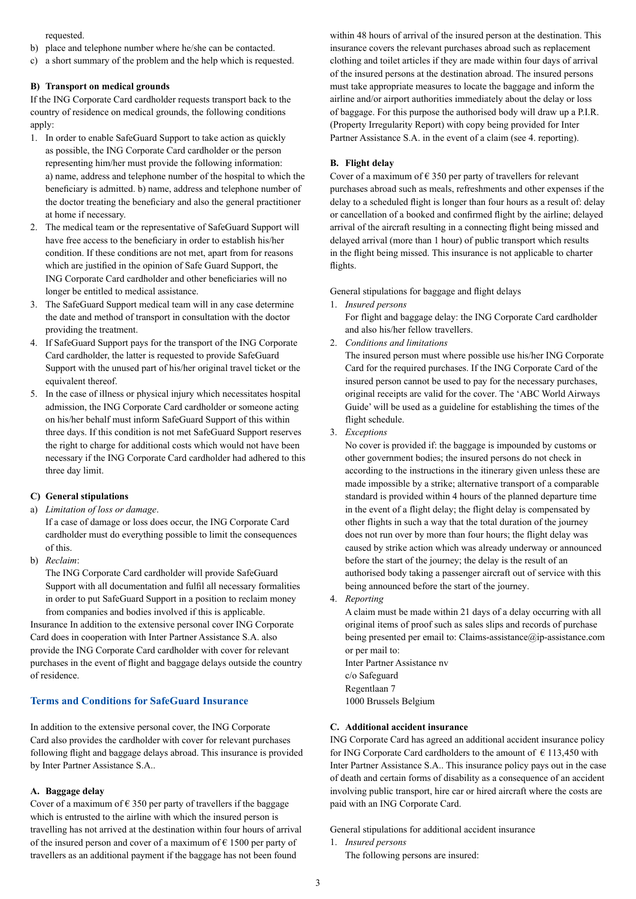requested.

- b) place and telephone number where he/she can be contacted.
- c) a short summary of the problem and the help which is requested.

## **B) Transport on medical grounds**

If the ING Corporate Card cardholder requests transport back to the country of residence on medical grounds, the following conditions apply:

- 1. In order to enable SafeGuard Support to take action as quickly as possible, the ING Corporate Card cardholder or the person representing him/her must provide the following information: a) name, address and telephone number of the hospital to which the beneficiary is admitted. b) name, address and telephone number of the doctor treating the beneficiary and also the general practitioner at home if necessary.
- 2. The medical team or the representative of SafeGuard Support will have free access to the beneficiary in order to establish his/her condition. If these conditions are not met, apart from for reasons which are justified in the opinion of Safe Guard Support, the ING Corporate Card cardholder and other beneficiaries will no longer be entitled to medical assistance.
- 3. The SafeGuard Support medical team will in any case determine the date and method of transport in consultation with the doctor providing the treatment.
- 4. If SafeGuard Support pays for the transport of the ING Corporate Card cardholder, the latter is requested to provide SafeGuard Support with the unused part of his/her original travel ticket or the equivalent thereof.
- 5. In the case of illness or physical injury which necessitates hospital admission, the ING Corporate Card cardholder or someone acting on his/her behalf must inform SafeGuard Support of this within three days. If this condition is not met SafeGuard Support reserves the right to charge for additional costs which would not have been necessary if the ING Corporate Card cardholder had adhered to this three day limit.

## **C) General stipulations**

- a) *Limitation of loss or damage*. If a case of damage or loss does occur, the ING Corporate Card cardholder must do everything possible to limit the consequences of this.
- b) *Reclaim*:

The ING Corporate Card cardholder will provide SafeGuard Support with all documentation and fulfil all necessary formalities in order to put SafeGuard Support in a position to reclaim money from companies and bodies involved if this is applicable.

Insurance In addition to the extensive personal cover ING Corporate Card does in cooperation with Inter Partner Assistance S.A. also provide the ING Corporate Card cardholder with cover for relevant purchases in the event of flight and baggage delays outside the country of residence.

#### **Terms and Conditions for SafeGuard Insurance**

In addition to the extensive personal cover, the ING Corporate Card also provides the cardholder with cover for relevant purchases following flight and baggage delays abroad. This insurance is provided by Inter Partner Assistance S.A..

#### **A. Baggage delay**

Cover of a maximum of  $\epsilon$  350 per party of travellers if the baggage which is entrusted to the airline with which the insured person is travelling has not arrived at the destination within four hours of arrival of the insured person and cover of a maximum of  $\epsilon$  1500 per party of travellers as an additional payment if the baggage has not been found

within 48 hours of arrival of the insured person at the destination. This insurance covers the relevant purchases abroad such as replacement clothing and toilet articles if they are made within four days of arrival of the insured persons at the destination abroad. The insured persons must take appropriate measures to locate the baggage and inform the airline and/or airport authorities immediately about the delay or loss of baggage. For this purpose the authorised body will draw up a P.I.R. (Property Irregularity Report) with copy being provided for Inter Partner Assistance S.A. in the event of a claim (see 4. reporting).

## **B. Flight delay**

Cover of a maximum of  $\epsilon$  350 per party of travellers for relevant purchases abroad such as meals, refreshments and other expenses if the delay to a scheduled flight is longer than four hours as a result of: delay or cancellation of a booked and confirmed flight by the airline; delayed arrival of the aircraft resulting in a connecting flight being missed and delayed arrival (more than 1 hour) of public transport which results in the flight being missed. This insurance is not applicable to charter flights.

General stipulations for baggage and flight delays

1. *Insured persons*

For flight and baggage delay: the ING Corporate Card cardholder and also his/her fellow travellers.

2. *Conditions and limitations*

The insured person must where possible use his/her ING Corporate Card for the required purchases. If the ING Corporate Card of the insured person cannot be used to pay for the necessary purchases, original receipts are valid for the cover. The 'ABC World Airways Guide' will be used as a guideline for establishing the times of the flight schedule.

3. *Exceptions*

No cover is provided if: the baggage is impounded by customs or other government bodies; the insured persons do not check in according to the instructions in the itinerary given unless these are made impossible by a strike; alternative transport of a comparable standard is provided within 4 hours of the planned departure time in the event of a flight delay; the flight delay is compensated by other flights in such a way that the total duration of the journey does not run over by more than four hours; the flight delay was caused by strike action which was already underway or announced before the start of the journey; the delay is the result of an authorised body taking a passenger aircraft out of service with this being announced before the start of the journey.

4. *Reporting*

A claim must be made within 21 days of a delay occurring with all original items of proof such as sales slips and records of purchase being presented per email to: Claims-assistance@ip-assistance.com or per mail to:

Inter Partner Assistance nv c/o Safeguard Regentlaan 7 1000 Brussels Belgium

## **C. Additional accident insurance**

ING Corporate Card has agreed an additional accident insurance policy for ING Corporate Card cardholders to the amount of  $\epsilon$  113,450 with Inter Partner Assistance S.A.. This insurance policy pays out in the case of death and certain forms of disability as a consequence of an accident involving public transport, hire car or hired aircraft where the costs are paid with an ING Corporate Card.

General stipulations for additional accident insurance

1. *Insured persons* The following persons are insured: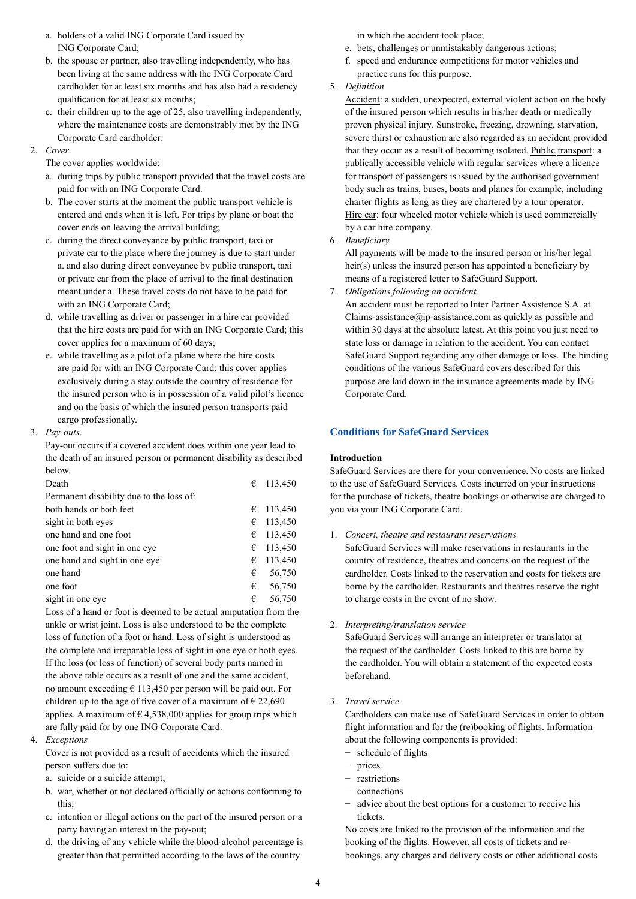- a. holders of a valid ING Corporate Card issued by ING Corporate Card;
- b. the spouse or partner, also travelling independently, who has been living at the same address with the ING Corporate Card cardholder for at least six months and has also had a residency qualification for at least six months;
- c. their children up to the age of 25, also travelling independently, where the maintenance costs are demonstrably met by the ING Corporate Card cardholder.

## 2. *Cover*

- The cover applies worldwide:
- a. during trips by public transport provided that the travel costs are paid for with an ING Corporate Card.
- b. The cover starts at the moment the public transport vehicle is entered and ends when it is left. For trips by plane or boat the cover ends on leaving the arrival building;
- c. during the direct conveyance by public transport, taxi or private car to the place where the journey is due to start under a. and also during direct conveyance by public transport, taxi or private car from the place of arrival to the final destination meant under a. These travel costs do not have to be paid for with an ING Corporate Card;
- d. while travelling as driver or passenger in a hire car provided that the hire costs are paid for with an ING Corporate Card; this cover applies for a maximum of 60 days;
- e. while travelling as a pilot of a plane where the hire costs are paid for with an ING Corporate Card; this cover applies exclusively during a stay outside the country of residence for the insured person who is in possession of a valid pilot's licence and on the basis of which the insured person transports paid cargo professionally.
- 3. *Pay-outs*.

Pay-out occurs if a covered accident does within one year lead to the death of an insured person or permanent disability as described below.

| Death                                    | € | 113,450 |
|------------------------------------------|---|---------|
| Permanent disability due to the loss of: |   |         |
| both hands or both feet                  | € | 113,450 |
| sight in both eyes                       | € | 113,450 |
| one hand and one foot                    | € | 113,450 |
| one foot and sight in one eye            | € | 113,450 |
| one hand and sight in one eye            | € | 113,450 |
| one hand                                 | € | 56,750  |
| one foot                                 | € | 56,750  |
| sight in one eve                         | € | 56,750  |
|                                          |   |         |

Loss of a hand or foot is deemed to be actual amputation from the ankle or wrist joint. Loss is also understood to be the complete loss of function of a foot or hand. Loss of sight is understood as the complete and irreparable loss of sight in one eye or both eyes. If the loss (or loss of function) of several body parts named in the above table occurs as a result of one and the same accident, no amount exceeding  $\epsilon$  113,450 per person will be paid out. For children up to the age of five cover of a maximum of  $\epsilon$  22,690 applies. A maximum of  $\epsilon$  4,538,000 applies for group trips which are fully paid for by one ING Corporate Card.

4. *Exceptions*

Cover is not provided as a result of accidents which the insured person suffers due to:

- a. suicide or a suicide attempt;
- b. war, whether or not declared officially or actions conforming to this;
- c. intention or illegal actions on the part of the insured person or a party having an interest in the pay-out;
- d. the driving of any vehicle while the blood-alcohol percentage is greater than that permitted according to the laws of the country

in which the accident took place;

- e. bets, challenges or unmistakably dangerous actions;
- f. speed and endurance competitions for motor vehicles and practice runs for this purpose.
- 5. *Definition*

Accident: a sudden, unexpected, external violent action on the body of the insured person which results in his/her death or medically proven physical injury. Sunstroke, freezing, drowning, starvation, severe thirst or exhaustion are also regarded as an accident provided that they occur as a result of becoming isolated. Public transport: a publically accessible vehicle with regular services where a licence for transport of passengers is issued by the authorised government body such as trains, buses, boats and planes for example, including charter flights as long as they are chartered by a tour operator. Hire car: four wheeled motor vehicle which is used commercially by a car hire company.

6. *Beneficiary*

All payments will be made to the insured person or his/her legal heir(s) unless the insured person has appointed a beneficiary by means of a registered letter to SafeGuard Support.

7. *Obligations following an accident*

An accident must be reported to Inter Partner Assistence S.A. at Claims-assistance $\omega$ ip-assistance.com as quickly as possible and within 30 days at the absolute latest. At this point you just need to state loss or damage in relation to the accident. You can contact SafeGuard Support regarding any other damage or loss. The binding conditions of the various SafeGuard covers described for this purpose are laid down in the insurance agreements made by ING Corporate Card.

# **Conditions for SafeGuard Services**

## **Introduction**

SafeGuard Services are there for your convenience. No costs are linked to the use of SafeGuard Services. Costs incurred on your instructions for the purchase of tickets, theatre bookings or otherwise are charged to you via your ING Corporate Card.

1. *Concert, theatre and restaurant reservations*

SafeGuard Services will make reservations in restaurants in the country of residence, theatres and concerts on the request of the cardholder. Costs linked to the reservation and costs for tickets are borne by the cardholder. Restaurants and theatres reserve the right to charge costs in the event of no show.

2. *Interpreting/translation service*

SafeGuard Services will arrange an interpreter or translator at the request of the cardholder. Costs linked to this are borne by the cardholder. You will obtain a statement of the expected costs beforehand.

3. *Travel service*

Cardholders can make use of SafeGuard Services in order to obtain flight information and for the (re)booking of flights. Information about the following components is provided:

- − schedule of flights
- − prices
- − restrictions
- − connections
- advice about the best options for a customer to receive his tickets.

No costs are linked to the provision of the information and the booking of the flights. However, all costs of tickets and rebookings, any charges and delivery costs or other additional costs